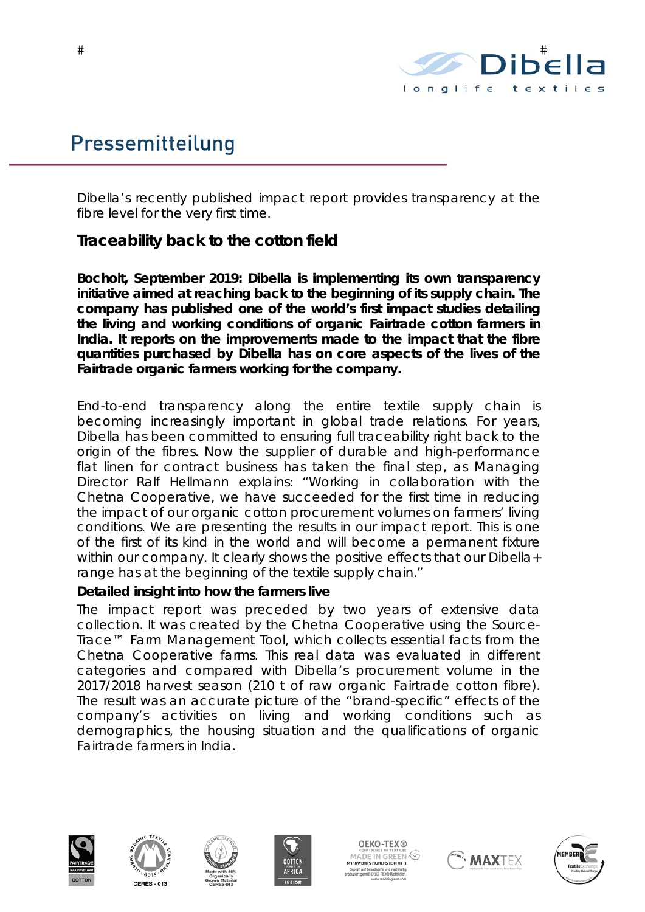

# Pressemitteilung

*Dibella's recently published impact report provides transparency at the fibre level for the very first time.* 

# **Traceability back to the cotton field**

**Bocholt, September 2019: Dibella is implementing its own transparency initiative aimed at reaching back to the beginning of its supply chain. The company has published one of the world's first impact studies detailing the living and working conditions of organic Fairtrade cotton farmers in India. It reports on the improvements made to the impact that the fibre quantities purchased by Dibella has on core aspects of the lives of the Fairtrade organic farmers working for the company.** 

End-to-end transparency along the entire textile supply chain is becoming increasingly important in global trade relations. For years, Dibella has been committed to ensuring full traceability right back to the origin of the fibres. Now the supplier of durable and high-performance flat linen for contract business has taken the final step, as Managing Director Ralf Hellmann explains: "Working in collaboration with the Chetna Cooperative, we have succeeded for the first time in reducing the impact of our organic cotton procurement volumes on farmers' living conditions. We are presenting the results in our impact report. This is one of the first of its kind in the world and will become a permanent fixture within our company. It clearly shows the positive effects that our Dibella+ range has at the beginning of the textile supply chain."

#### **Detailed insight into how the farmers live**

The impact report was preceded by two years of extensive data collection. It was created by the Chetna Cooperative using the Source-Trace™ Farm Management Tool, which collects essential facts from the Chetna Cooperative farms. This real data was evaluated in different categories and compared with Dibella's procurement volume in the 2017/2018 harvest season (210 t of raw organic Fairtrade cotton fibre). The result was an accurate picture of the "brand-specific" effects of the company's activities on living and working conditions such as demographics, the housing situation and the qualifications of organic Fairtrade farmers in India.











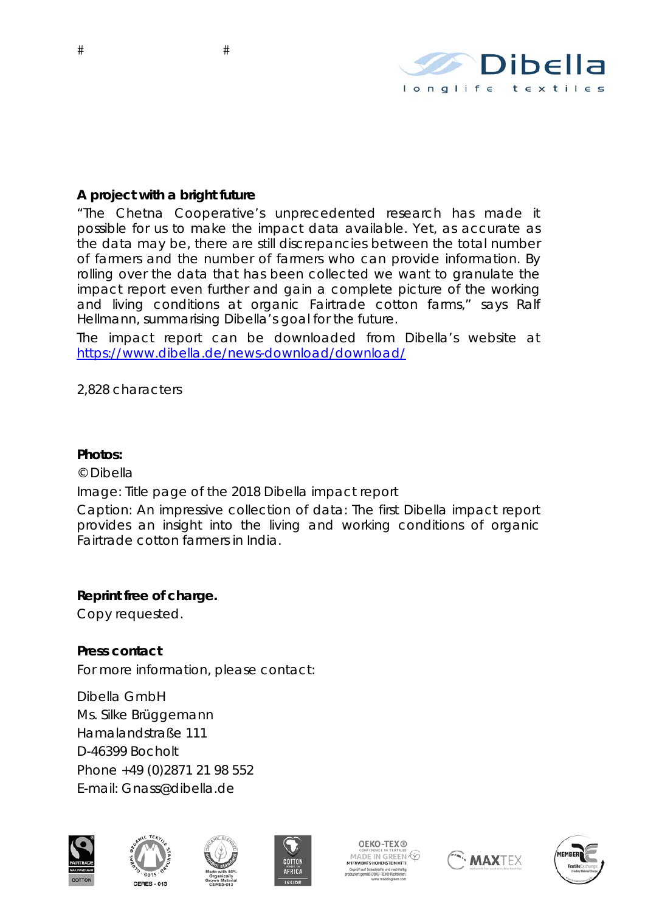

## **A project with a bright future**

"The Chetna Cooperative's unprecedented research has made it possible for us to make the impact data available. Yet, as accurate as the data may be, there are still discrepancies between the total number of farmers and the number of farmers who can provide information. By rolling over the data that has been collected we want to granulate the impact report even further and gain a complete picture of the working and living conditions at organic Fairtrade cotton farms," says Ralf Hellmann, summarising Dibella's goal for the future.

The impact report can be downloaded from Dibella's website at https://www.dibella.de/news-download/download/

*2,828 characters* 

#### **Photos:**

© Dibella

Image: Title page of the 2018 Dibella impact report

Caption: An impressive collection of data: The first Dibella impact report provides an insight into the living and working conditions of organic Fairtrade cotton farmers in India.

### **Reprint free of charge.**

Copy requested.

**Press contact**  For more information, please contact:

Dibella GmbH Ms. Silke Brüggemann Hamalandstraße 111 D-46399 Bocholt Phone +49 (0)2871 21 98 552 E-mail: Gnass@dibella.de